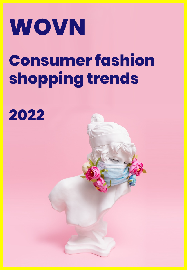# **WOVN**

## **Consumer fashion shopping trends**

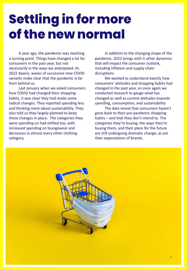### **Settling in for more of the new normal**

A year ago, the pandemic was reaching a turning point. Things have changed a lot for consumers in the past year, but not necessarily in the ways we anticipated. As 2022 dawns, waves of successive new COVID variants make clear that the pandemic is far from behind us.

Last January when we asked consumers how COVID had changed their shopping habits, it was clear they had made some radical changes. They reported spending less and thinking more about sustainability. They also told us they largely planned to keep these changes in place. The categories they were spending on had shifted too, with increased spending on loungewear and decreases in almost every other clothing category.

In addition to the changing shape of the pandemic, 2022 brings with it other dynamics that will impact the consumer outlook, including inflation and supply chain disruptions.

We wanted to understand exactly how consumers' attitudes and shopping habits had changed in the past year, so once again we conducted research to gauge what has changed as well as current attitudes towards spending, consumption, and sustainability

The data reveal that consumers haven't gone back to their pre-pandemic shopping habits – and that they don't intend to. The categories they're buying, the ways they're buying them, and their plans for the future are still undergoing dramatic change, as are their expectations of brands.

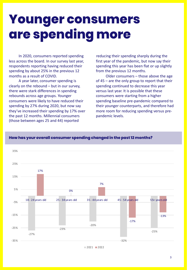### **Younger consumers are spending more**

In 2020, consumers reported spending less across the board. In our survey last year, respondents reporting having reduced their spending by about 25% in the previous 12 months as a result of COVID.

A year later, consumer spending is clearly on the rebound – but in our survey, there were stark differences in spending rebounds across age groups. Younger consumers were likely to have reduced their spending by 27% during 2020, but now say they've increased their spending by 17% over the past 12 months. Millennial consumers (those between ages 25 and 44) reported

reducing their spending sharply during the first year of the pandemic, but now say their spending this year has been flat or up slightly from the previous 12 months.

Older consumers – those above the age of 45 – are the only group to report that their spending continued to decrease this year versus last year. It is possible that these consumers were starting from a higher spending baseline pre-pandemic compared to their younger counterparts, and therefore had more room for reducing spending versus prepandemic levels.



#### **How has your overall consumer spending changed in the past 12 months?**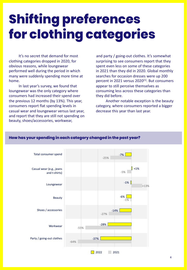### **Shifting preferences for clothing categories**

It's no secret that demand for most clothing categories dropped in 2020, for obvious reasons, while loungewear performed well during the period in which many were suddenly spending more time at home.

In last year's survey, we found that loungewear was the only category where consumers had increased their spend over the previous 12 months (by 13%). This year, consumers report flat spending levels in casual wear and loungewear versus last year, and report that they are still not spending on beauty, shoes/accessories, workwear,

and party / going-out clothes. It's somewhat surprising to see consumers report that they spent even less on some of these categories in 2021 than they did in 2020. Global monthly searches for occasion dresses were up 200 percent in 2021 versus  $2020^{(1)}$ . But consumers appear to still perceive themselves as consuming less across these categories than they did before.

Another notable exception is the beauty category, where consumers reported a bigger decrease this year than last year.

#### **How has your spending in each category changed in the past year?**

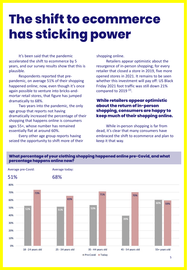### **The shift to ecommerce has sticking power**

It's been said that the pandemic accelerated the shift to ecommerce by 5 years, and our survey results show that this is plausible.

Respondents reported that prepandemic, on average 51% of their shopping happened online; now, even though it's once again possible to venture into bricks-andmortar retail stores, that figure has jumped dramatically to 68%.

Two years into the pandemic, the only age group that reports not having dramatically increased the percentage of their shopping that happens online is consumers ages 55+, whose number has remained essentially flat at around 60%.

Every other age group reports having seized the opportunity to shift more of their shopping online.

Retailers appear optimistic about the resurgence of in-person shopping; for every retailer that closed a store in 2019, five more opened stores in 2021. It remains to be seen whether this investment will pay off: US Black Friday 2021 foot traffic was still down 21% compared to 2019<sup>(2)</sup>.

#### **While retailers appear optimistic about the return of in-person shopping, consumers are happy to keep much of their shopping online.**

While in-person shopping is far from dead, it's clear that many consumers have embraced the shift to ecommerce and plan to keep it that way.



#### **What percentage of your clothing shopping happened online pre-Covid, and what percentage happens online now?**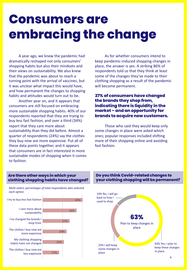### **Consumers are embracing the change**

A year ago, we knew the pandemic had dramatically reshaped not only consumers' shopping habits but also their mindsets and their views on sustainability. We also knew that the pandemic was about to reach a turning point with the arrival of vaccines, but it was unclear what impact this would have, and how permanent the changes to shopping habits and attitudes would turn out to be.

Another year on, and it appears that consumers are still focused on embracing more sustainable shopping habits. 40% of our respondents reported that they are trying to buy less fast fashion, and over a third (34%) report that they care more about sustainability than they did before. Almost a quarter of respondents (24%) say the clothes they buy now are more expensive. Put all of these data points together, and it appears that consumers are in fact interested in more sustainable modes of shopping when it comes to fashion.

As for whether consumers intend to keep pandemic-induced shopping changes in place, the answer is yes. A striking 86% of respondents told us that they think at least some of the changes they've made to their clothing shopping as a result of the pandemic will become permanent.

#### **27% of consumers have changed the brands they shop from, indicating there is liquidity in the market – and an opportunity for brands to acquire new customers.**

Those who said they would keep only some changes in place were asked which ones; popular responses included shifting more of their shopping online and avoiding fast fashion.

#### **Are there other ways in which your clothing shopping habits have changed?**

*Multi-select; percentages of total respondents who selected each option.* 



**Do you think Covid-related changes to your clothing shopping will be permanent?**

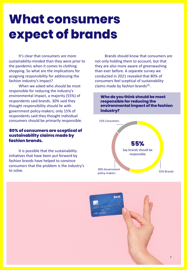### **What consumers expect of brands**

It's clear that consumers are more sustainability-minded than they were prior to the pandemic when it comes to clothing shopping. So what are the implications for assigning responsibility for addressing the fashion industry's impact?

When we asked who should be most responsible for reducing the industry's environmental impact, a majority (55%) of respondents said brands. 30% said they thought responsibility should lie with government policy-makers; only 15% of respondents said they thought individual consumers should be primarily responsible.

#### **80% of consumers are sceptical of sustainability claims made by fashion brands.**

It is possible that the sustainability initiatives that have been put forward by fashion brands have helped to convince consumers that the problem is the industry's to solve.

Brands should know that consumers are not only holding them to account, but that they are also more aware of greenwashing than ever before. A separate survey we conducted in 2021 revealed that 80% of consumers feel sceptical of sustainability claims made by fashion brands $(3)$ .

**Who do you think should be most responsible for reducing the environmental impact of the fashion industry?**



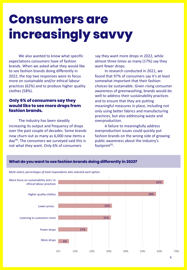### **Consumers are increasingly savvy**

**What do you want to see fashion brands doing differently in 2022?**

We also wanted to know what specific expectations consumers have of fashion brands. When we asked what they would like to see fashion brands doing differently in 2022, the top two responses were to focus more on sustainable and/or ethical labour practices (62%) and to produce higher quality clothes (58%).

#### **Only 6% of consumers say they would like to see more drops from fashion brands.**

The industry has been steadily increasing its output and frequency of drops over the past couple of decades. Some brands now churn out as many as 6,000 new items a  $day<sup>(4)</sup>$ . The consumers we surveyed said this is not what they want. Only 6% of consumers

say they want more drops in 2022, while almost three times as many (17%) say they want fewer drops.

In research conducted in 2021, we found that 97% of consumers say it's at least somewhat important that their fashion choices be sustainable. Given rising consumer awareness of greenwashing, brands would do well to address their sustainability practices and to ensure that they are putting meaningful measures in place, including not only using better fabrics and manufacturing practices, but also addressing waste and overproduction.

A failure to meaningfully address overproduction issues could quickly put fashion brands on the wrong side of growing public awareness about the industry's footprint $(5)$ .

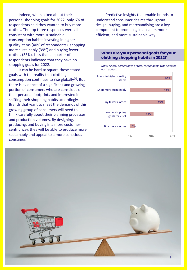Indeed, when asked about their personal shopping goals for 2022, only 6% of respondents said they wanted to buy more clothes. The top three responses were all consistent with more sustainable consumption habits: investing in higherquality items (40% of respondents), shopping more sustainably (39%) and buying fewer clothes (33%). Less than a quarter of respondents indicated that they have no shopping goals for 2022.

It can be hard to square these stated goals with the reality that clothing consumption continues to rise globally<sup>(5)</sup>. But there is evidence of a significant and growing portion of consumers who are conscious of their personal footprints and interested in shifting their shopping habits accordingly. Brands that want to meet the demands of this growing group of consumers will need to think carefully about their planning processes and production volumes. By designing, producing, and buying in a more customercentric way, they will be able to produce more sustainably and appeal to a more conscious consumer.

Predictive insights that enable brands to understand consumer desires throughout design, buying, and merchandising are a key component to producing in a leaner, more efficient, and more sustainable way.





#### **What are your personal goals for your clothing shopping habits in 2022?**

*Multi-select; percentages of total respondents who selected each option.*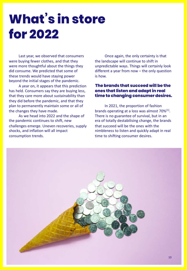### **What's in store for 2022**

Last year, we observed that consumers were buying fewer clothes, and that they were more thoughtful about the things they did consume. We predicted that some of these trends would have staying power beyond the initial stages of the pandemic.

A year on, it appears that this prediction has held. Consumers say they are buying less, that they care more about sustainability than they did before the pandemic, and that they plan to permanently maintain some or all of the changes they have made.

As we head into 2022 and the shape of the pandemic continues to shift, new challenges emerge. Uneven recoveries, supply shocks, and inflation will all impact consumption trends.

Once again, the only certainty is that the landscape will continue to shift in unpredictable ways. Things will certainly look different a year from now – the only question is how.

#### **The brands that succeed will be the ones that listen and adapt in real time to changing consumer desires.**

In 2021, the proportion of fashion brands operating at a loss was almost 70%<sup>(1)</sup>. There is no guarantee of survival, but in an era of totally destabilising change, the brands that succeed will be the ones with the nimbleness to listen and quickly adapt in real time to shifting consumer desires.